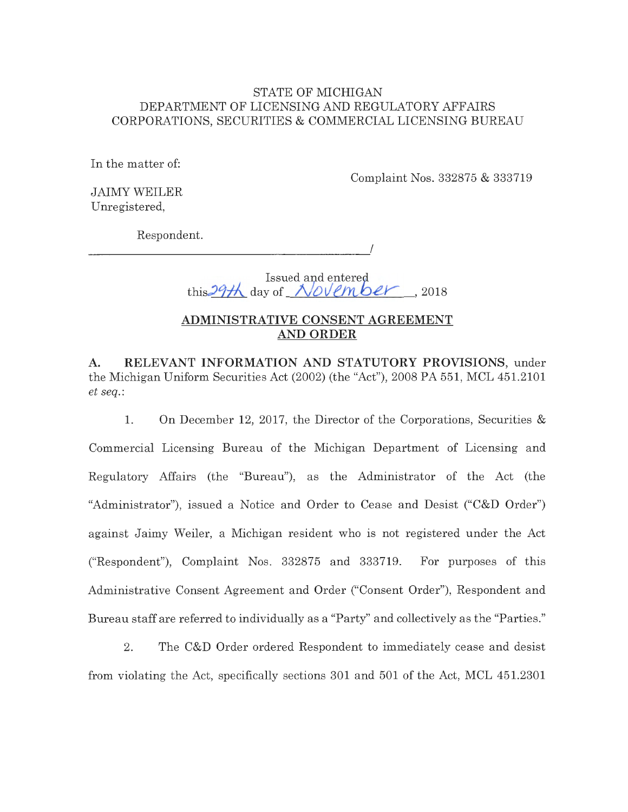### STATE OF MICHIGAN DEPARTMENT OF LICENSING AND REGULATORY AFFAIRS CORPORATIONS, SECURITIES & COMMERCIAL LICENSING BUREAU

In the matter of:

Complaint Nos. 332875 & 333719

JAIMY WEILER Unregistered,

Respondent.

--------------------

Issued and entered this  $29H$  day of *November*, 2018

I

## **ADMINISTRATIVE CONSENT AGREEMENT AND ORDER**

**A. RELEVANT INFORMATION AND STATUTORY PROVISIONS,** under the Michigan Uniform Securities Act (2002) (the "Act"), 2008 PA 551, MCL 451.2101 *et seq.:* 

1. On December 12, 2017, the Director of the Corporations, Securities & Commercial Licensing Bureau of the Michigan Department of Licensing and Regulatory Affairs (the "Bureau"), as the Administrator of the Act (the "Administrator"), issued a Notice and Order to Cease and Desist ("C&D Order") against Jaimy Weiler, a Michigan resident who is not registered under the Act ("Respondent"), Complaint Nos. 332875 and 333719. For purposes of this Administrative Consent Agreement and Order ("Consent Order"), Respondent and Bureau staff are referred to individually as a "Party" and collectively as the "Parties."

2. The C&D Order ordered Respondent to immediately cease and desist from violating the Act, specifically sections 301 and 501 of the Act, MCL 451.2301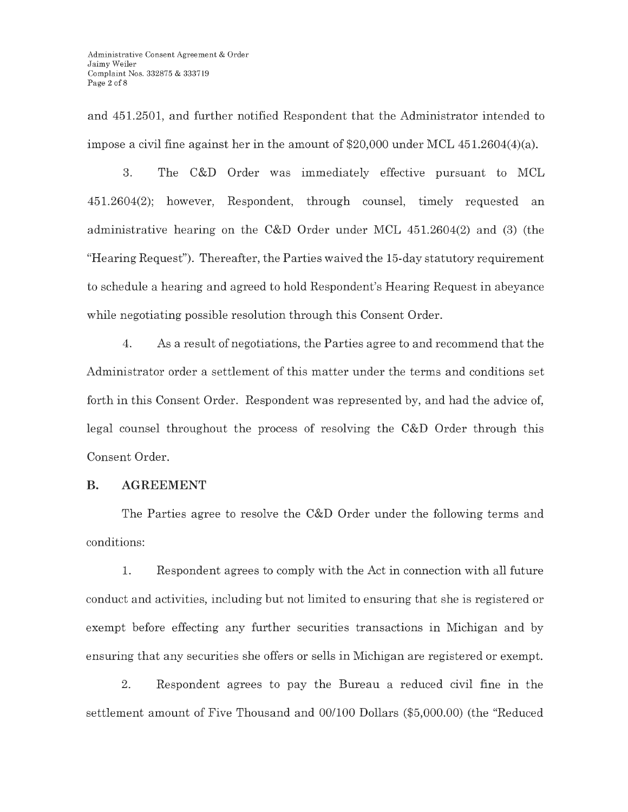and 451.2501, and further notified Respondent that the Administrator intended to impose a civil fine against her in the amount of \$20,000 under MCL 451.2604(4)(a).

3. The C&D Order was immediately effective pursuant to MCL 451.2604(2); however, Respondent, through counsel, timely requested an administrative hearing on the C&D Order under MCL 451.2604(2) and (3) (the "Hearing Request"). Thereafter, the Parties waived the 15-day statutory requirement to schedule a hearing and agreed to hold Respondent's Hearing Request in abeyance while negotiating possible resolution through this Consent Order.

4. As a result of negotiations, the Parties agree to and recommend that the Administrator order a settlement of this matter under the terms and conditions set forth in this Consent Order. Respondent was represented by, and had the advice of, legal counsel throughout the process of resolving the C&D Order through this Consent Order.

### **B. AGREEMENT**

The Parties agree to resolve the C&D Order under the following terms and conditions:

1. Respondent agrees to comply with the Act in connection with all future conduct and activities, including but not limited to ensuring that she is registered or exempt before effecting any further securities transactions in Michigan and by ensuring that any securities she offers or sells in Michigan are registered or exempt.

2. Respondent agrees to pay the Bureau a reduced civil fine in the settlement amount of Five Thousand and 00/100 Dollars (\$5,000.00) (the "Reduced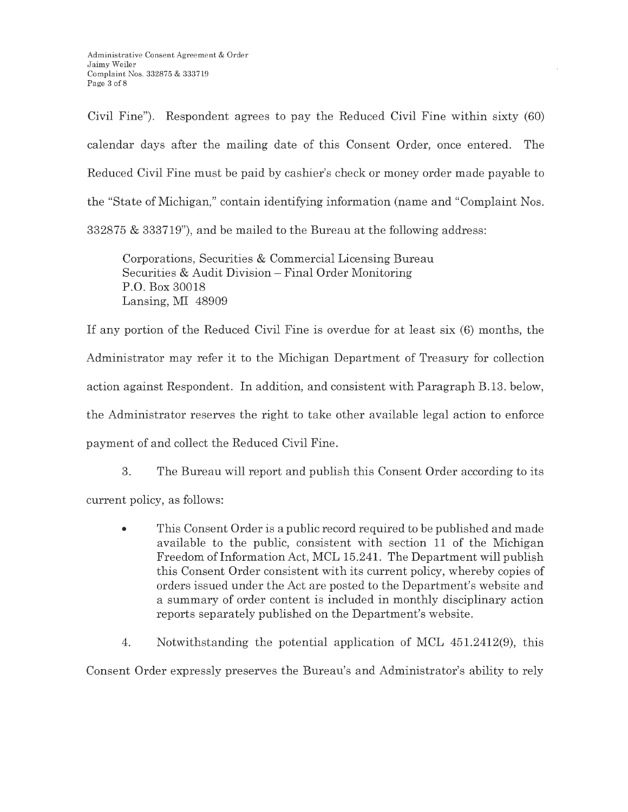Civil Fine"). Respondent agrees to pay the Reduced Civil Fine within sixty (60) calendar days after the mailing date of this Consent Order, once entered. The Reduced Civil Fine must be paid by cashier's check or money order made payable to the "State of Michigan," contain identifying information (name and "Complaint Nos. 332875 & 333719"), and be mailed to the Bureau at the following address:

Corporations, Securities & Commercial Licensing Bureau Securities & Audit Division – Final Order Monitoring P.O. Box 30018 Lansing, MI 48909

If any portion of the Reduced Civil Fine is overdue for at least six (6) months, the Administrator may refer it to the Michigan Department of Treasury for collection action against Respondent. In addition, and consistent with Paragraph B.13. below, the Administrator reserves the right to take other available legal action to enforce payment of and collect the Reduced Civil Fine.

3. The Bureau will report and publish this Consent Order according to its current policy, as follows:

• This Consent Order is a public record required to be published and made available to the public, consistent with section 11 of the Michigan Freedom of Information Act, MCL 15.241. The Department will publish this Consent Order consistent with its current policy, whereby copies of orders issued under the Act are posted to the Department's website and a summary of order content is included in monthly disciplinary action reports separately published on the Department's website.

4. Notwithstanding the potential application of MCL 451.2412(9), this

Consent Order expressly preserves the Bureau's and Administrator's ability to rely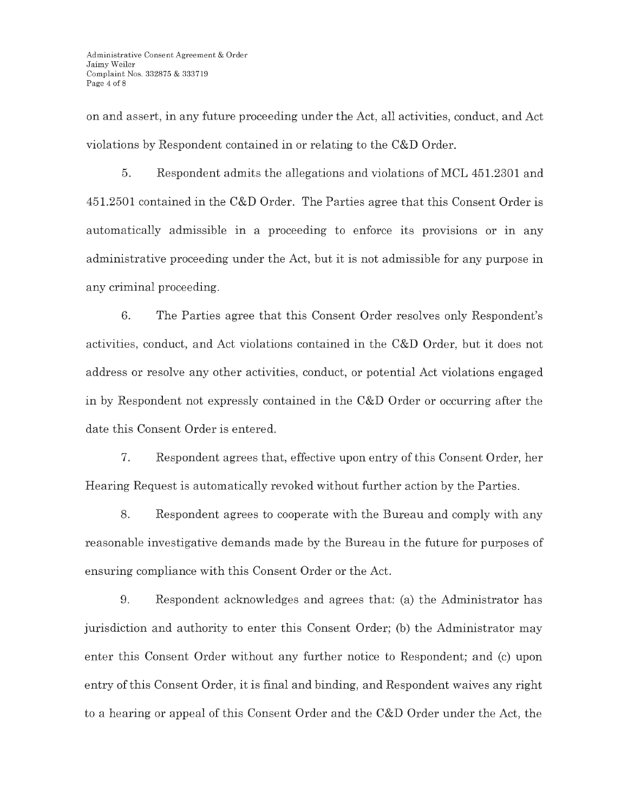on and assert, in any future proceeding under the Act, all activities, conduct, and Act violations by Respondent contained in or relating to the C&D Order.

5. Respondent admits the allegations and violations of MCL 451.2301 and 451.2501 contained in the C&D Order. The Parties agree that this Consent Order is automatically admissible in a proceeding to enforce its provisions or in any administrative proceeding under the Act, but it is not admissible for any purpose in any criminal proceeding.

6. The Parties agree that this Consent Order resolves only Respondent's activities, conduct, and Act violations contained in the C&D Order, but it does not address or resolve any other activities, conduct, or potential Act violations engaged in by Respondent not expressly contained in the C&D Order or occurring after the date this Consent Order is entered.

7. Respondent agrees that, effective upon entry of this Consent Order, her Hearing Request is automatically revoked without further action by the Parties.

8. Respondent agrees to cooperate with the Bureau and comply with any reasonable investigative demands made by the Bureau in the future for purposes of ensuring compliance with this Consent Order or the Act.

9. Respondent acknowledges and agrees that: (a) the Administrator has jurisdiction and authority to enter this Consent Order; (b) the Administrator may enter this Consent Order without any further notice to Respondent; and (c) upon entry of this Consent Order, it is final and binding, and Respondent waives any right to a hearing or appeal of this Consent Order and the C&D Order under the Act, the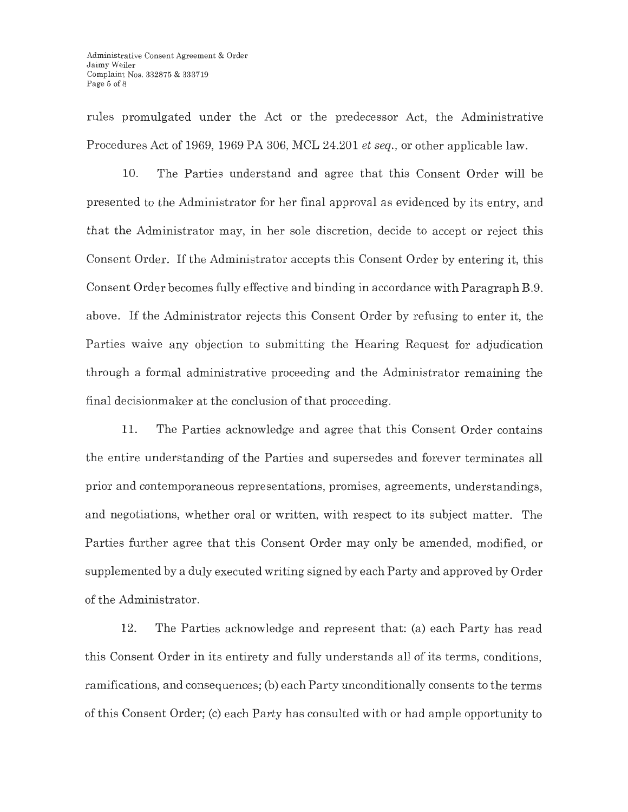rules promulgated under the Act or the predecessor Act, the Administrative Procedures Act of 1969, 1969 PA 306, MCL 24.201 *et seq.,* or other applicable law.

10. The Parties understand and agree that this Consent Order will be presented to the Administrator for her final approval as evidenced by its entry, and that the Administrator may, in her sole discretion, decide to accept or reject this Consent Order. If the Administrator accepts this Consent Order by entering it, this Consent Order becomes fully effective and binding in accordance with Paragraph B.9. above. If the Administrator rejects this Consent Order by refusing to enter it, the Parties waive any objection to submitting the Hearing Request for adjudication through a formal administrative proceeding and the Administrator remaining the final decisionmaker at the conclusion of that proceeding.

11. The Parties acknowledge and agree that this Consent Order contains the entire understanding of the Parties and supersedes and forever terminates all prior and contemporaneous representations, promises, agreements, understandings, and negotiations, whether oral or written, with respect to its subject matter. The Parties further agree that this Consent Order may only be amended, modified, or supplemented by a duly executed writing signed by each Party and approved by Order of the Administrator.

12. The Parties acknowledge and represent that: (a) each Party has read this Consent Order in its entirety and fully understands all of its terms, conditions, ramifications, and consequences; (b) each Party unconditionally consents to the terms of this Consent Order; (c) each Party has consulted with or had ample opportunity to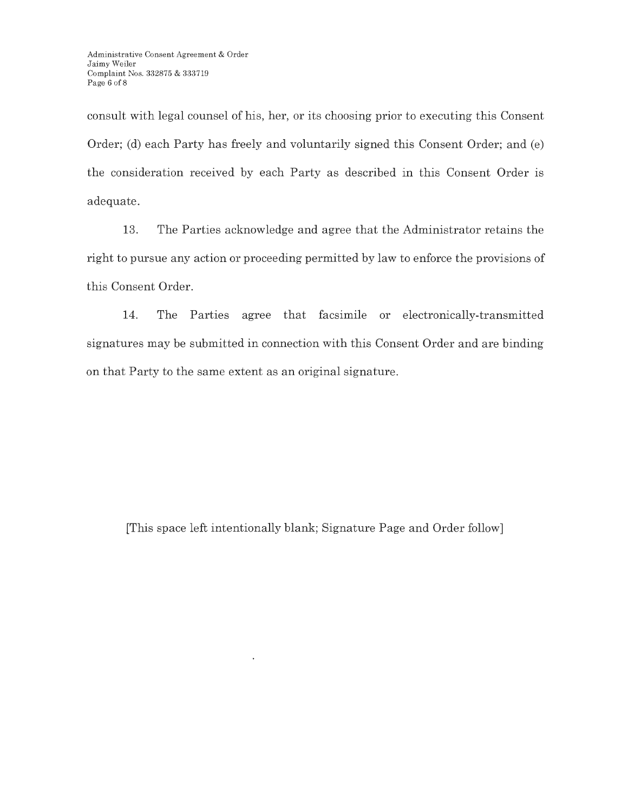consult with legal counsel of his, her, or its choosing prior to executing this Consent Order; (d) each Party has freely and voluntarily signed this Consent Order; and (e) the consideration received by each Party as described in this Consent Order is adequate.

13. The Parties acknowledge and agree that the Administrator retains the right to pursue any action or proceeding permitted by law to enforce the provisions of this Consent Order.

14. The Parties agree that facsimile or electronically-transmitted signatures may be submitted in connection with this Consent Order and are binding on that Party to the same extent as an original signature.

[This space left intentionally blank; Signature Page and Order follow]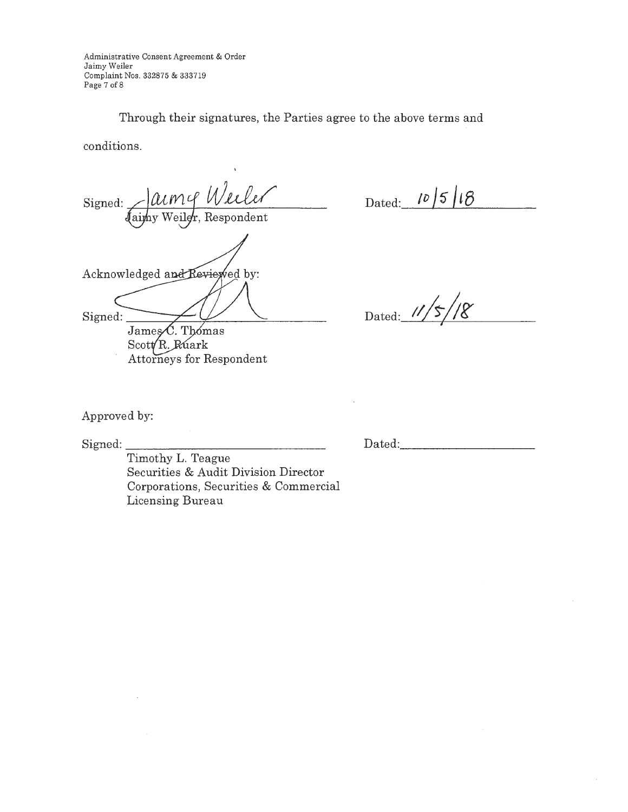Administrative Consent Agreement & Order Jaimy Weiler Complaint Nos. 332875 & 333719 Page 7 of 8

Through their signatures, the Parties agree to the above terms and

conditions.

Signed: Jaimy Weiler Acknowledged and Reviewed by: Signed: James C. Thomas

Scott R. Ruark Attorneys for Respondent

Dated:  $\lceil \frac{10}{5} \rceil$  ig  $\lceil \frac{10}{5} \rceil$ 

Dated: 11/5/18

Approved by:

 $Signed:$ 

Dated: -----------

Timothy L. Teague Securities & Audit Division Director Corporations, Securities & Commercial Licensing Bureau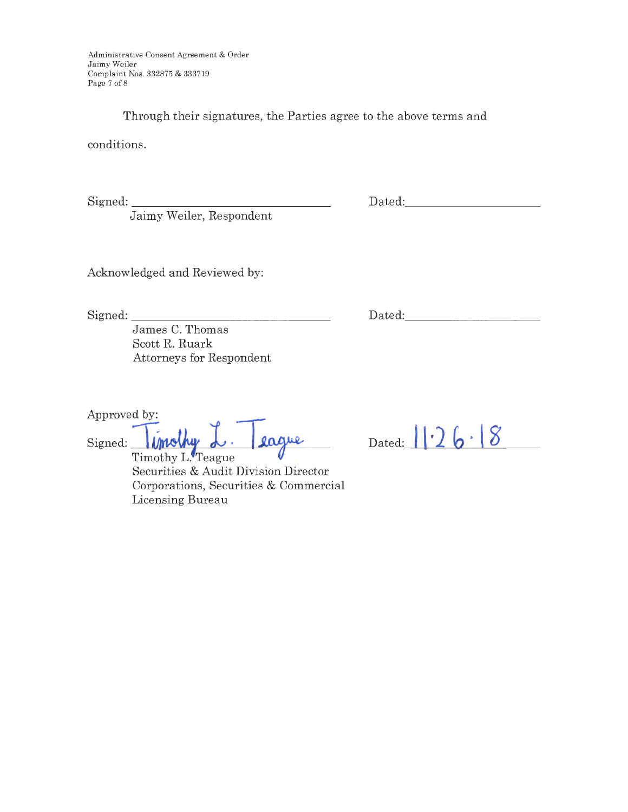Administrative Consent Agreement & Order Jaimy Weiler Complaint Nos. 332875 & 333719 Page 7 of  $8\,$ 

Through their signatures, the Parties agree to the above terms and

conditions.

 $Signed:$ 

Jaimy Weiler, Respondent

Dated: \_\_\_\_\_\_\_\_ \_

Acknowledged and Reviewed by:

Signed: \_\_\_\_\_\_\_\_\_\_\_\_\_\_\_ \_

James C. Thomas Scott R. Ruark Attorneys for Respondent

Approved by:

Signed: *imality d.* **2ague** 

Timothy L. Teague Securities & Audit Division Director Corporations, Securities & Commercial Licensing Bureau

 $_{\text{Dated:}}$   $|| \cdot 26 \cdot 8$ 

Dated: \_\_\_\_\_\_\_\_\_ \_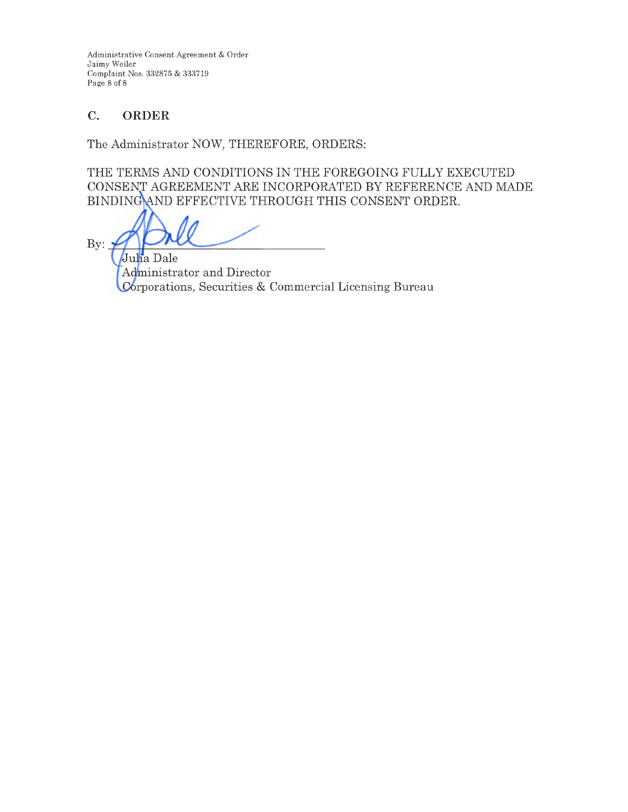Administrative Consent Agreement & Order Jaimy Weiler Complaint Nos. 332875 & 333719 Page 8 of 8

# **C. ORDER**

The Administrator NOW, THEREFORE, ORDERS:

THE TERMS AND CONDITIONS IN THE FOREGOING FULLY EXECUTED CONSENT AGREEMENT ARE INCORPORATED BY REFERENCE AND MADE BINDING AND EFFECTIVE THROUGH THIS CONSENT ORDER.

By:  $\frac{1}{7}$ 

Julia Dale Administrator and Director Corporations, Securities & Commercial Licensing Bureau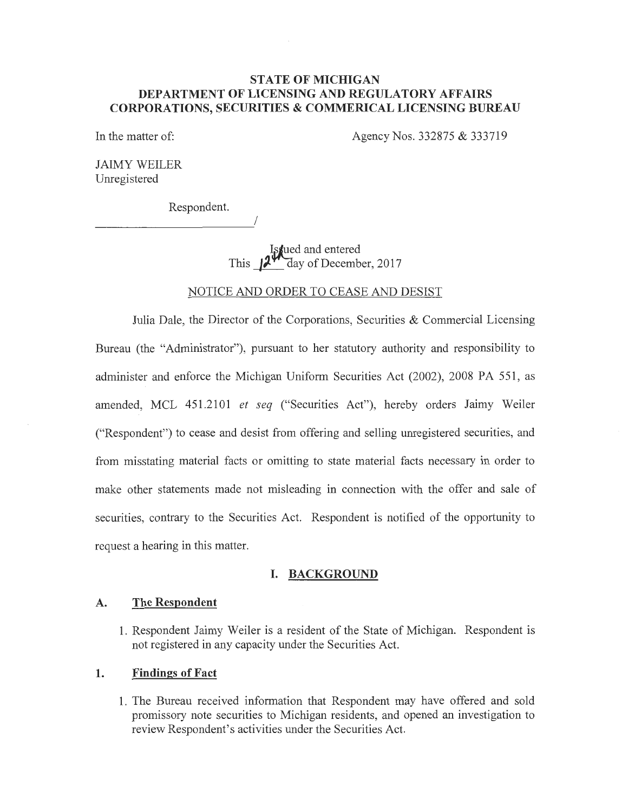### **STATE OF MICHIGAN DEPARTMENT OF LICENSING AND REGULATORY AFFAIRS CORPORATIONS, SECURITIES & COMMERICAL LICENSING BUREAU**

In the matter of: Agency Nos. 332875 & 333719

JAIMY WEILER Unregistered

Respondent.

I

*x***ived and entered<br>This 12<sup>44</sup> day of Decemb** day of December, 2017

### NOTICE AND ORDER TO CEASE AND DESIST

Julia Dale, the Director of the Corporations, Securities & Commercial Licensing Bureau (the "Administrator"), pursuant to her statutory authority and responsibility to administer and enforce the Michigan Uniform Securities Act (2002), 2008 PA 551, as amended, MCL 451.2101 *et seq* ("Securities Act"), hereby orders Jaimy Weiler ("Respondent") to cease and desist from offering and selling unregistered securities, and from misstating material facts or omitting to state material facts necessary in order to make other statements made not misleading in connection with the offer and sale of securities, contrary to the Securities Act. Respondent is notified of the opportunity to request a hearing in this matter.

### **I. BACKGROUND**

#### **A. The Respondent**

**1.** Respondent Jaimy Weiler is a resident of the State of Michigan. Respondent is not registered in any capacity under the Securities Act.

#### **1. Findings of Fact**

**1.** The Bureau received information that Respondent may have offered and sold promissory note securities to Michigan residents, and opened an \_investigation to review Respondent's activities under the Securities Act.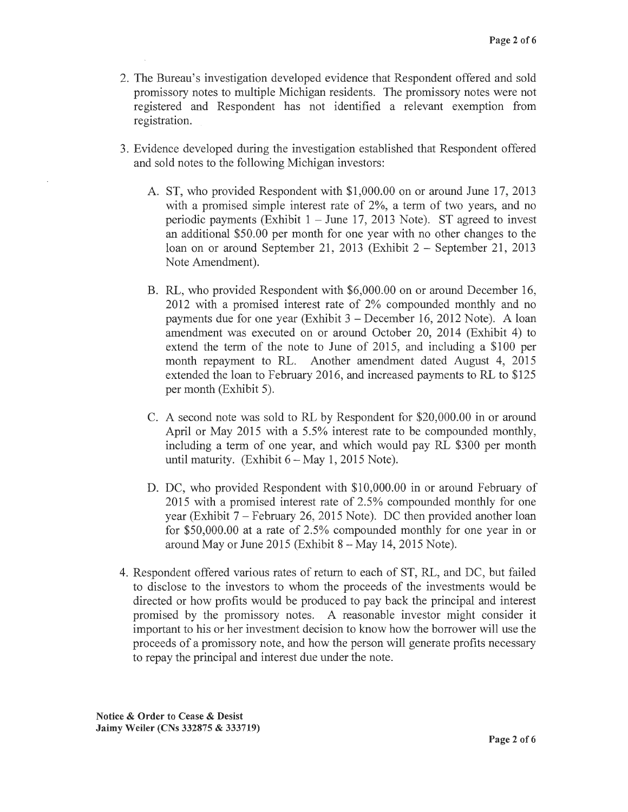- 2. The Bureau's investigation developed evidence that Respondent offered and sold promissory notes to multiple Michigan residents. The promissory notes were not registered and Respondent has not identified a relevant exemption from registration.
- 3. Evidence developed during the investigation established that Respondent offered and sold notes to the following Michigan investors:
	- A. ST, who provided Respondent with \$1,000.00 on or around June 17, 2013 with a promised simple interest rate of 2%, a term of two years, and no periodic payments (Exhibit  $1 -$  June 17, 2013 Note). ST agreed to invest an additional \$50.00 per month for one year with no other changes to the loan on or around September 21, 2013 (Exhibit 2 – September 21, 2013 Note Amendment).
	- B. RL, who provided Respondent with \$6,000.00 on or around December 16, 2012 with a promised interest rate of 2% compounded monthly and no payments due for one year (Exhibit  $3 -$ December 16, 2012 Note). A loan amendment was executed on or around October 20, 2014 (Exhibit 4) to extend the term of the note to June of 2015, and including a \$100 per month repayment to RL. Another amendment dated August 4, 2015 extended the loan to February 2016, and increased payments to RL to \$125 per month (Exhibit 5).
	- C. A second note was sold to RL by Respondent for \$20,000.00 in or around April or May 2015 with a 5.5% interest rate to be compounded monthly, including a term of one year, and which would pay RL \$300 per month until maturity. (Exhibit  $6-May 1, 2015$  Note).
	- D. DC, who provided Respondent with \$10,000.00 in or around February of 2015 with a promised interest rate of 2.5% compounded monthly for one year (Exhibit  $7$  – February 26, 2015 Note). DC then provided another loan for \$50,000.00 at a rate of 2.5% compounded monthly for one year in or around May or June  $2015$  (Exhibit  $8 -$ May 14, 2015 Note).
- 4. Respondent offered various rates of return to each of ST, RL, and DC, but failed to disclose to the investors to whom the proceeds of the investments would be directed or how profits would be produced to pay back the principal and interest promised by the promissory notes. A reasonable investor might consider it important to his or her investment decision to know how the borrower will use the proceeds of a promissory note, and how the person will generate profits necessary to repay the principal and interest due under the note.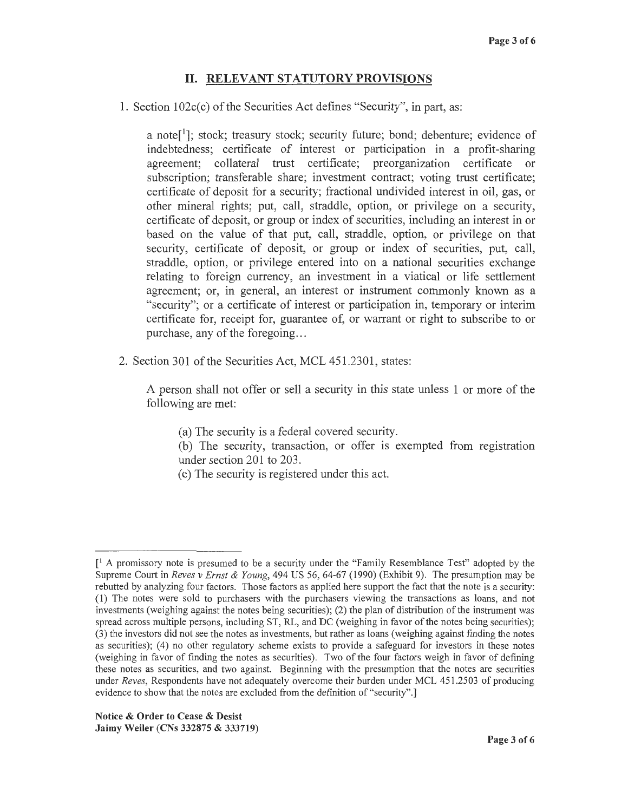### II. **RELEVANT STATUTORY PROVISIONS**

1. Section 102c(c) of the Securities Act defines "Security", in part, as:

a note<sup>[1</sup>]; stock; treasury stock; security future; bond; debenture; evidence of indebtedness; certificate of interest or participation in a profit-sharing agreement; collateral trust certificate; preorganization certificate or subscription; transferable share; investment contract; voting trust certificate; certificate of deposit for a security; fractional undivided interest in oil, gas, or other mineral rights; put, call, straddle, option, or privilege on a security, certificate of deposit, or group or index of securities, including an interest in or based on the value of that put, call, straddle, option, or privilege on that security, certificate of deposit, or group or index of securities, put, call, straddle, option, or privilege entered into on a national securities exchange relating to foreign currency, an investment in a viatical or life settlement agreement; or, in general, an interest or instrument commonly known as a "security"; or a certificate of interest or participation in, temporary or interim certificate for, receipt for, guarantee of, or warrant or right to subscribe to or purchase, any of the foregoing...

2. Section 301 of the Securities Act, MCL 451.2301, states:

A person shall not offer or sell a security in this state unless 1 or more of the following are met:

- (a) The security is a federal covered security.
- (b) The security, transaction, or offer is exempted from registration under section 201 to 203.
- ( c) The security is registered under this act.

 $\lceil$ <sup>1</sup> A promissory note is presumed to be a security under the "Family Resemblance Test" adopted by the Supreme Court in *Reves v Ernst & Young,* 494 US 56, 64-67 (1990) (Exhibit 9). The presumption may be rebutted by analyzing four factors. Those factors as applied here support the fact that the note is a security: (1) The notes were sold to purchasers with the purchasers viewing the transactions as loans, and not investments (weighing against the notes being securities); (2) the plan of distribution of the instrument was spread across multiple persons, including ST, RL, and DC (weighing in favor of the notes being securities); (3) the investors did not see the notes as investments, but rather as loans (weighing against finding the notes as securities); ( 4) no other regulatory scheme exists to provide a safeguard for investors in these notes (weighing in favor of finding the notes as securities). Two of the four factors weigh in favor of defining these notes as securities, and two against. Beginning with the presumption that the notes are securities under *Reves,* Respondents have not adequately overcome their burden under MCL 451.2503 of producing evidence to show that the notes are excluded from the definition of "security".]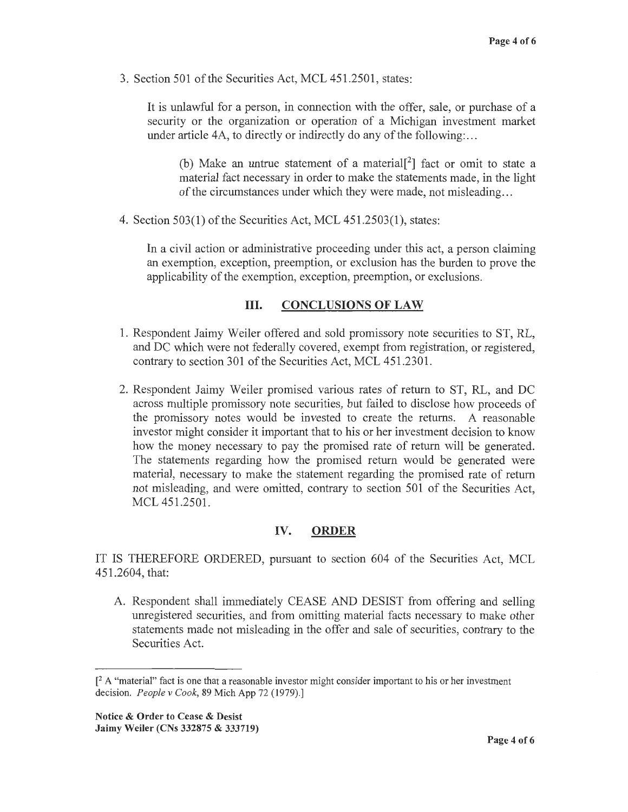3. Section 501 of the Securities Act, MCL 451.2501, states:

It is unlawful for a person, in connection with the offer, sale, or purchase of a security or the organization or operation of a Michigan investment market under article 4A, to directly or indirectly do any of the following:...

(b) Make an untrue statement of a material<sup>[2]</sup> fact or omit to state a material fact necessary in order to make the statements made, in the light of the circumstances under which they were made, not misleading ...

4. Section 503(1) of the Securities Act, MCL 451.2503(1), states:

In a civil action or administrative proceeding under this act, a person claiming an exemption, exception, preemption, or exclusion has the burden to prove the applicability of the exemption, exception, preemption, or exclusions.

### III. **CONCLUSIONS OF LAW**

- 1. Respondent Jaimy Weiler offered and sold promissory note securities to ST, RL, and DC which were not federally covered, exempt from registration, or registered, contrary to section 301 of the Securities Act, MCL 451.2301.
- 2. Respondent Jaimy Weiler promised various rates of return to ST, RL, and DC across multiple promissory note securities, but failed to disclose how proceeds of the promissory notes would be invested to create the returns. A reasonable investor might consider it important that to his or her investment decision to know how the money necessary to pay the promised rate of return will be generated. The statements regarding how the promised return would be generated were material, necessary to make the statement regarding the promised rate of return not misleading, and were omitted, contrary to section 501 of the Securities Act, MCL 451.2501.

### **IV. ORDER**

IT IS THEREFORE ORDERED, pursuant to section 604 of the Securities Act, MCL 451.2604, that:

A. Respondent shall immediately CEASE AND DESIST from offering and selling umegistered securities, and from omitting material facts necessary to make other statements made not misleading in the offer and sale of securities, contrary to the Securities Act.

 $\lceil^2$  A "material" fact is one that a reasonable investor might consider important to his or her investment decision. *People v Cook,* 89 Mich App 72 (1979).]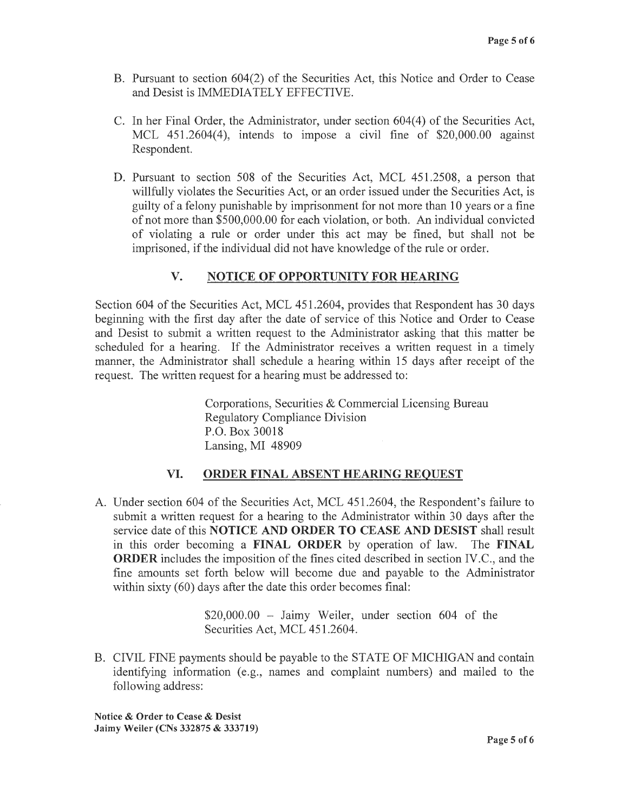- B. Pursuant to section 604(2) of the Securities Act, this Notice and Order to Cease and Desist is IMMEDIATELY EFFECTIVE.
- C. In her Final Order, the Administrator, under section 604(4) of the Securities Act, MCL 451.2604(4), intends to impose a civil fine of \$20,000.00 against Respondent.
- D. Pursuant to section 508 of the Securities Act, MCL 451.2508, a person that willfully violates the Securities Act, or an order issued under the Securities Act, is guilty of a felony punishable by imprisonment for not more than 10 years or a fine of not more than \$500,000.00 for each violation, or both. An individual convicted of violating a rule or order under this act may be fined, but shall not be imprisoned, if the individual did not have knowledge of the rule or order.

## **V. NOTICE OF OPPORTUNITY FOR HEARING**

Section 604 of the Securities Act, MCL 451.2604, provides that Respondent has 30 days beginning with the first day after the date of service of this Notice and Order to Cease and Desist to submit a written request to the Administrator asking that this matter be scheduled for a hearing. If the Administrator receives a written request in a timely manner, the Administrator shall schedule a hearing within 15 days after receipt of the request. The written request for a hearing must be addressed to:

> Corporations, Securities & Commercial Licensing Bureau Regulatory Compliance Division P.O. Box 30018 Lansing, MI 48909

### **VI. ORDER FINAL ABSENT HEARING REQUEST**

A. Under section 604 of the Securities Act, MCL 451.2604, the Respondent's failure to submit a written request for a hearing to the Administrator within 30 days after the service date of this **NOTICE AND ORDER TO CEASE AND DESIST** shall result in this order becoming a **FINAL ORDER** by operation of law. The **FINAL ORDER** includes the imposition of the fines cited described in section IV.C., and the fine amounts set forth below will become due and payable to the Administrator within sixty (60) days after the date this order becomes final:

> $$20,000.00 - Jaimy$  Weiler, under section 604 of the Securities Act, MCL 451.2604.

B. CIVIL FINE payments should be payable to the STATE OF MICHIGAN and contain identifying information (e.g., names and complaint numbers) and mailed to the following address:

**Notice** & **Order to Cease** & **Desist Jaimy Weiler (CNs 332875** & **333719)**